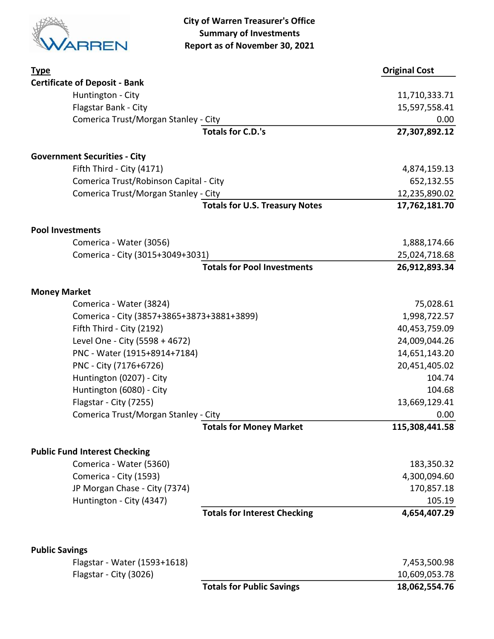

| <b>Type</b>                                           |                                       | <b>Original Cost</b> |
|-------------------------------------------------------|---------------------------------------|----------------------|
| <b>Certificate of Deposit - Bank</b>                  |                                       |                      |
| Huntington - City                                     |                                       | 11,710,333.71        |
| Flagstar Bank - City                                  |                                       | 15,597,558.41        |
| Comerica Trust/Morgan Stanley - City                  |                                       | 0.00                 |
|                                                       | <b>Totals for C.D.'s</b>              | 27,307,892.12        |
| <b>Government Securities - City</b>                   |                                       |                      |
| Fifth Third - City (4171)                             |                                       | 4,874,159.13         |
| Comerica Trust/Robinson Capital - City                |                                       | 652,132.55           |
| Comerica Trust/Morgan Stanley - City                  |                                       | 12,235,890.02        |
|                                                       | <b>Totals for U.S. Treasury Notes</b> | 17,762,181.70        |
| <b>Pool Investments</b>                               |                                       |                      |
| Comerica - Water (3056)                               |                                       | 1,888,174.66         |
| Comerica - City (3015+3049+3031)                      |                                       | 25,024,718.68        |
|                                                       | <b>Totals for Pool Investments</b>    | 26,912,893.34        |
| <b>Money Market</b>                                   |                                       |                      |
| Comerica - Water (3824)                               |                                       | 75,028.61            |
| Comerica - City (3857+3865+3873+3881+3899)            |                                       | 1,998,722.57         |
| Fifth Third - City (2192)                             |                                       | 40,453,759.09        |
| Level One - City (5598 + 4672)                        |                                       | 24,009,044.26        |
| PNC - Water (1915+8914+7184)                          |                                       | 14,651,143.20        |
| PNC - City (7176+6726)                                |                                       | 20,451,405.02        |
| Huntington (0207) - City                              |                                       | 104.74               |
| Huntington (6080) - City                              |                                       | 104.68               |
| Flagstar - City (7255)                                |                                       | 13,669,129.41        |
| Comerica Trust/Morgan Stanley - City                  |                                       | 0.00                 |
|                                                       | <b>Totals for Money Market</b>        | 115,308,441.58       |
| <b>Public Fund Interest Checking</b>                  |                                       |                      |
| Comerica - Water (5360)                               |                                       | 183,350.32           |
| Comerica - City (1593)                                |                                       | 4,300,094.60         |
| JP Morgan Chase - City (7374)                         |                                       | 170,857.18           |
| Huntington - City (4347)                              |                                       | 105.19               |
|                                                       | <b>Totals for Interest Checking</b>   | 4,654,407.29         |
|                                                       |                                       |                      |
| <b>Public Savings</b><br>Flagstar - Water (1593+1618) |                                       | 7,453,500.98         |
| Flagstar - City (3026)                                |                                       | 10,609,053.78        |
|                                                       | <b>Totals for Public Savings</b>      | 18,062,554.76        |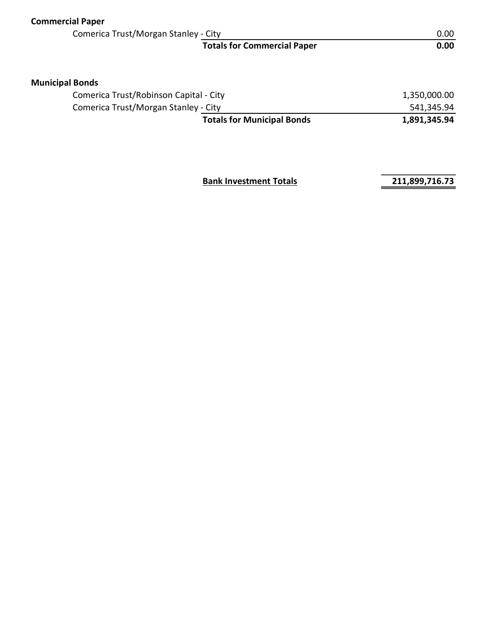| <b>Commercial Paper</b>                |                                    |                   |
|----------------------------------------|------------------------------------|-------------------|
| Comerica Trust/Morgan Stanley - City   |                                    | 0.00 <sub>1</sub> |
|                                        | <b>Totals for Commercial Paper</b> | 0.00              |
| <b>Municipal Bonds</b>                 |                                    |                   |
| Comerica Trust/Robinson Capital - City |                                    | 1,350,000.00      |
| Comerica Trust/Morgan Stanley - City   |                                    | 541,345.94        |
|                                        | <b>Totals for Municipal Bonds</b>  | 1,891,345.94      |
|                                        |                                    |                   |

**Bank Investment Totals 211,899,716.73**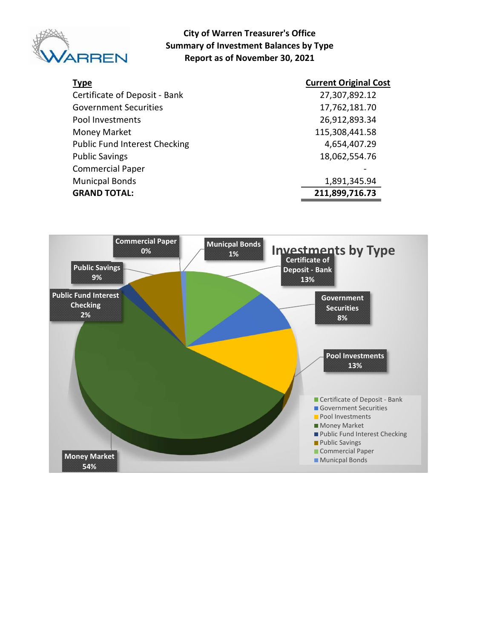

#### City of Warren Treasurer's Office Summary of Investment Balances by Type Report as of November 30, 2021

| <b>Type</b>                          | <b>Current Original Cost</b> |
|--------------------------------------|------------------------------|
| Certificate of Deposit - Bank        | 27,307,892.12                |
| <b>Government Securities</b>         | 17,762,181.70                |
| Pool Investments                     | 26,912,893.34                |
| Money Market                         | 115,308,441.58               |
| <b>Public Fund Interest Checking</b> | 4,654,407.29                 |
| <b>Public Savings</b>                | 18,062,554.76                |
| <b>Commercial Paper</b>              |                              |
| <b>Municpal Bonds</b>                | 1,891,345.94                 |
| <b>GRAND TOTAL:</b>                  | 211,899,716.73               |

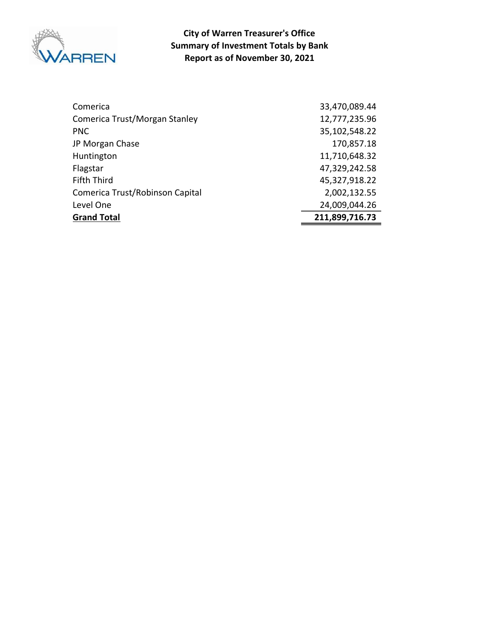

Report as of November 30, 2021 City of Warren Treasurer's Office Summary of Investment Totals by Bank

| Comerica                        | 33,470,089.44  |
|---------------------------------|----------------|
| Comerica Trust/Morgan Stanley   | 12,777,235.96  |
| <b>PNC</b>                      | 35,102,548.22  |
| JP Morgan Chase                 | 170,857.18     |
| Huntington                      | 11,710,648.32  |
| Flagstar                        | 47,329,242.58  |
| <b>Fifth Third</b>              | 45,327,918.22  |
| Comerica Trust/Robinson Capital | 2,002,132.55   |
| Level One                       | 24,009,044.26  |
| <b>Grand Total</b>              | 211,899,716.73 |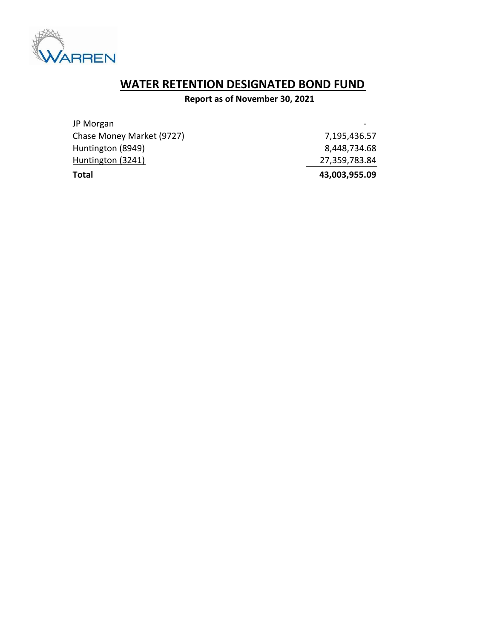

# WATER RETENTION DESIGNATED BOND FUND

Report as of November 30, 2021

| <b>Total</b>              | 43,003,955.09 |
|---------------------------|---------------|
| Huntington (3241)         | 27,359,783.84 |
| Huntington (8949)         | 8,448,734.68  |
| Chase Money Market (9727) | 7,195,436.57  |
| JP Morgan                 |               |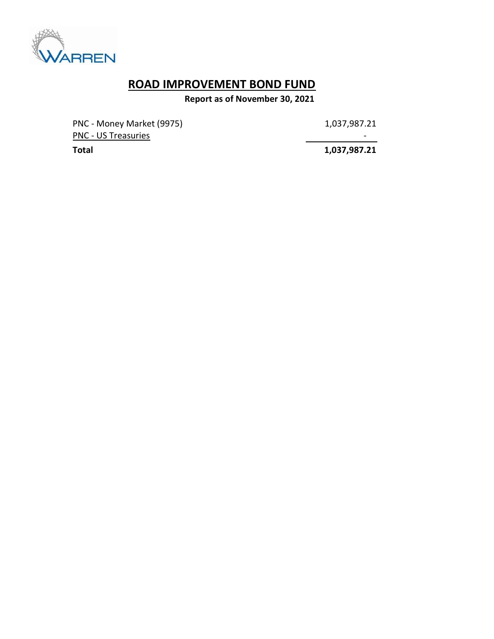

## ROAD IMPROVEMENT BOND FUND

Report as of November 30, 2021

PNC - Money Market (9975) 1,037,987.21 PNC - US Treasuries - Andreasuries - Andreasuries - Andreasuries - Andreasuries - Andreasuries - Andreasuries

Total 1,037,987.21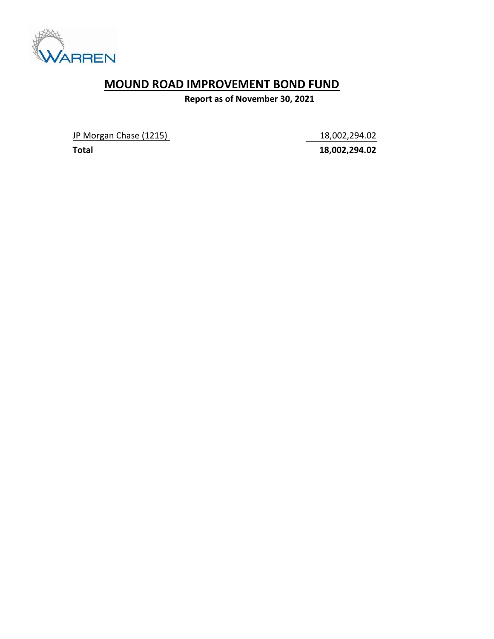

## MOUND ROAD IMPROVEMENT BOND FUND

Report as of November 30, 2021

JP Morgan Chase (1215) 18,002,294.02

Total 18,002,294.02